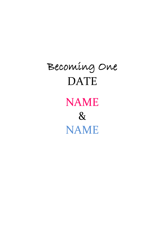# Becoming One DATE **NAME** & NAME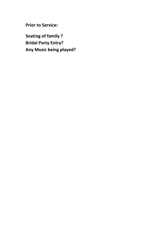**Prior to Service:**

**Seating of family ? Bridal Party Entry? Any Music being played?**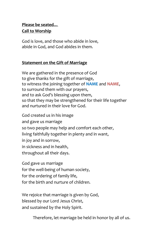# **Please be seated… Call to Worship**

God is love, and those who abide in love, abide in God, and God abides in them.

# **Statement on the Gift of Marriage**

We are gathered in the presence of God to give thanks for the gift of marriage, to witness the joining together of **NAME** and **NAME**, to surround them with our prayers, and to ask God's blessing upon them, so that they may be strengthened for their life together and nurtured in their love for God.

God created us in his image and gave us marriage so two people may help and comfort each other, living faithfully together in plenty and in want, in joy and in sorrow, in sickness and in health, throughout all their days.

God gave us marriage for the well-being of human society, for the ordering of family life, for the birth and nurture of children.

We rejoice that marriage is given by God, blessed by our Lord Jesus Christ, and sustained by the Holy Spirit.

Therefore, let marriage be held in honor by all of us.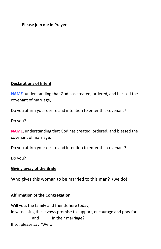#### **Please join me in Prayer**

#### **Declarations of Intent**

**NAME**, understanding that God has created, ordered, and blessed the covenant of marriage,

Do you affirm your desire and intention to enter this covenant?

Do you?

**NAME**, understanding that God has created, ordered, and blessed the covenant of marriage,

Do you affirm your desire and intention to enter this covenant?

Do you?

#### **Giving away of the Bride**

Who gives this woman to be married to this man? (we do)

#### **Affirmation of the Congregation**

Will you, the family and friends here today, in witnessing these vows promise to support, encourage and pray for **\_\_\_\_\_\_\_\_\_** and **\_\_\_\_\_** in their marriage? If so, please say "We will"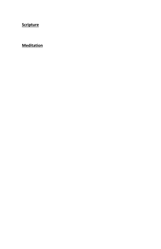**Scripture**

## **Meditation**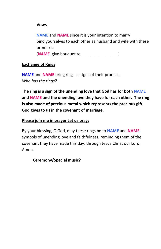## **Vows**

**NAME** and **NAME** since it is your intention to marry bind yourselves to each other as husband and wife with these promises:

(**NAME**, give bouquet to \_\_\_\_\_\_\_\_\_\_\_\_\_\_\_\_ )

## **Exchange of Rings**

**NAME** and **NAME** bring rings as signs of their promise. *Who has the rings?*

**The ring is a sign of the unending love that God has for both NAME and NAME and the unending love they have for each other. The ring is also made of precious metal which represents the precious gift God gives to us in the covenant of marriage.** 

## **Please join me in prayer Let us pray:**

By your blessing, O God, may these rings be to **NAME** and **NAME** symbols of unending love and faithfulness, reminding them of the covenant they have made this day, through Jesus Christ our Lord. Amen.

# **Ceremony/Special music?**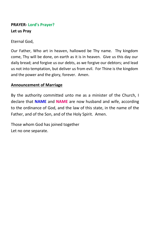# **PRAYER- Lord's Prayer? Let us Pray**

Eternal God,

Our Father, Who art in heaven, hallowed be Thy name. Thy kingdom come, Thy will be done, on earth as it is in heaven. Give us this day our daily bread; and forgive us our debts, as we forgive our debtors; and lead us not into temptation, but deliver us from evil. For Thine is the kingdom and the power and the glory, forever. Amen.

## **Announcement of Marriage**

By the authority committed unto me as a minister of the Church, I declare that **NAME** and **NAME** are now husband and wife, according to the ordinance of God, and the law of this state, in the name of the Father, and of the Son, and of the Holy Spirit. Amen.

Those whom God has joined together Let no one separate.